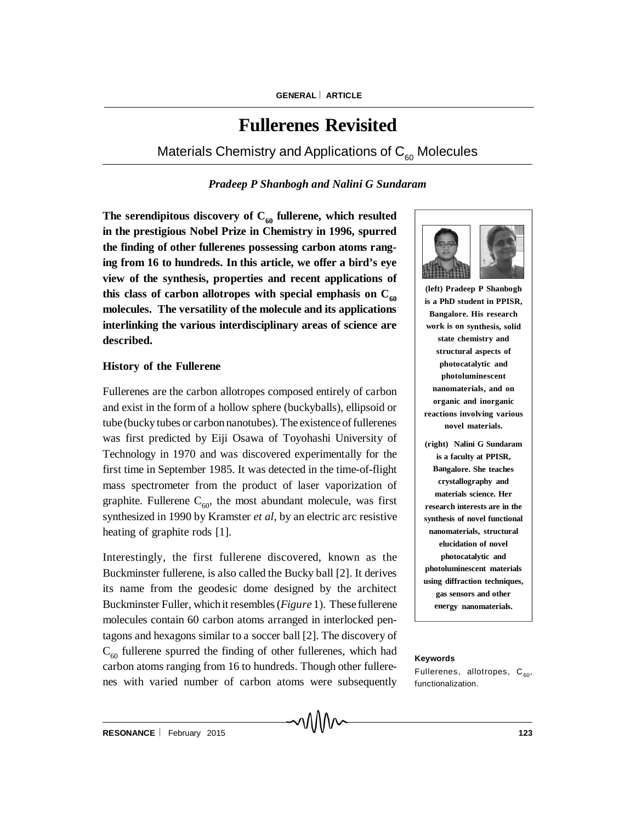# **Fullerenes Revisited**

Materials Chemistry and Applications of  $C_{60}$  Molecules

## *Pradeep P Shanbogh and Nalini G Sundaram*

The serendipitous discovery of  $C_{60}$  fullerene, which resulted **in the prestigious Nobel Prize in Chemistry in 1996, spurred the finding of other fullerenes possessing carbon atoms ranging from 16 to hundreds. In this article, we offer a bird's eye view of the synthesis, properties and recent applications of** this class of carbon allotropes with special emphasis on  $C_{60}$ **molecules. The versatility of the molecule and its applications interlinking the various interdisciplinary areas of science are described.**

#### **History of the Fullerene**

Fullerenes are the carbon allotropes composed entirely of carbon and exist in the form of a hollow sphere (buckyballs), ellipsoid or tube (bucky tubes or carbon nanotubes). The existence of fullerenes was first predicted by Eiji Osawa of Toyohashi University of Technology in 1970 and was discovered experimentally for the first time in September 1985. It was detected in the time-of-flight mass spectrometer from the product of laser vaporization of graphite. Fullerene  $C_{60}$ , the most abundant molecule, was first synthesized in 1990 by Kramster *et al*, by an electric arc resistive heating of graphite rods [1].

Interestingly, the first fullerene discovered, known as the Buckminster fullerene, is also called the Bucky ball [2]. It derives its name from the geodesic dome designed by the architect Buckminster Fuller, whichit resembles (*Figure* 1). These fullerene molecules contain 60 carbon atoms arranged in interlocked pentagons and hexagons similar to a soccer ball [2]. The discovery of  $C_{60}$  fullerene spurred the finding of other fullerenes, which had carbon atoms ranging from 16 to hundreds. Though other fullerenes with varied number of carbon atoms were subsequently



**(left) Pradeep P Shanbogh is a PhD student in PPISR, Bangalore. His research work is on synthesis, solid state chemistry and structural aspects of photocatalytic and photoluminescent nanomaterials, and on organic and inorganic reactions involving various novel materials.**

**(right) Nalini G Sundaram is a faculty at PPISR, Bangalore. She teaches crystallography and materials science. Her research interests are in the synthesis of novel functional nanomaterials, structural elucidation of novel photocatalytic and photoluminescent materials using diffraction techniques, gas sensors and other energy nanomaterials.**

#### **Keywords**

Fullerenes, allotropes,  $C_{60}$ , functionalization.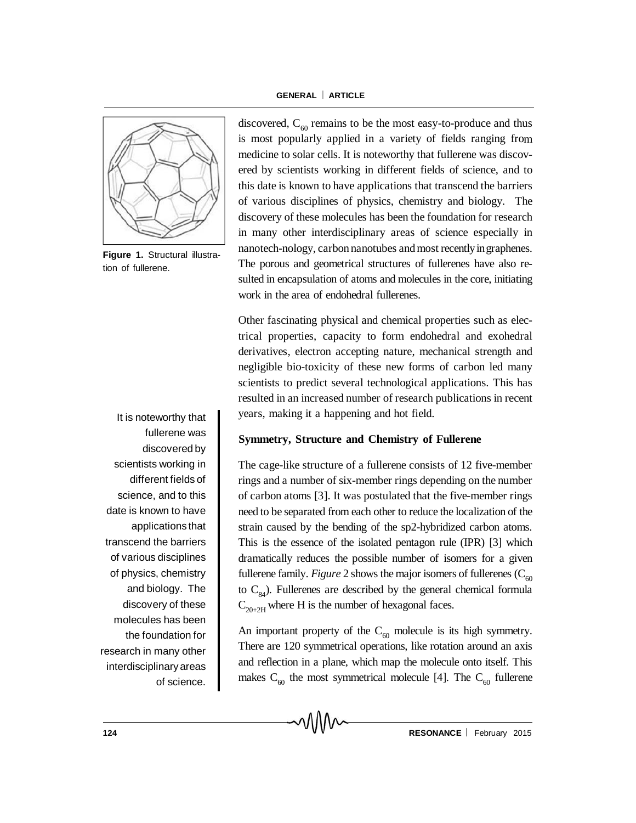

**Figure 1.** Structural illustration of fullerene.

It is noteworthy that fullerene was discovered by scientists working in different fields of science, and to this date is known to have applications that transcend the barriers of various disciplines of physics, chemistry and biology. The discovery of these molecules has been the foundation for research in many other interdisciplinary areas of science.

discovered,  $C_{60}$  remains to be the most easy-to-produce and thus is most popularly applied in a variety of fields ranging from medicine to solar cells. It is noteworthy that fullerene was discovered by scientists working in different fields of science, and to this date is known to have applications that transcend the barriers of various disciplines of physics, chemistry and biology. The discovery of these molecules has been the foundation for research in many other interdisciplinary areas of science especially in nanotech-nology, carbon nanotubes and most recently in graphenes. The porous and geometrical structures of fullerenes have also resulted in encapsulation of atoms and molecules in the core, initiating work in the area of endohedral fullerenes.

Other fascinating physical and chemical properties such as electrical properties, capacity to form endohedral and exohedral derivatives, electron accepting nature, mechanical strength and negligible bio-toxicity of these new forms of carbon led many scientists to predict several technological applications. This has resulted in an increased number of research publications in recent years, making it a happening and hot field.

## **Symmetry, Structure and Chemistry of Fullerene**

The cage-like structure of a fullerene consists of 12 five-member rings and a number of six-member rings depending on the number of carbon atoms [3]. It was postulated that the five-member rings need to be separated from each other to reduce the localization of the strain caused by the bending of the sp2-hybridized carbon atoms. This is the essence of the isolated pentagon rule (IPR) [3] which dramatically reduces the possible number of isomers for a given fullerene family. *Figure* 2 shows the major isomers of fullerenes  $(C_{60}^{\circ})$ to  $C_{84}$ ). Fullerenes are described by the general chemical formula  $C_{20+2H}$  where H is the number of hexagonal faces.

An important property of the  $C_{60}$  molecule is its high symmetry. There are 120 symmetrical operations, like rotation around an axis and reflection in a plane, which map the molecule onto itself. This makes  $C_{60}$  the most symmetrical molecule [4]. The  $C_{60}$  fullerene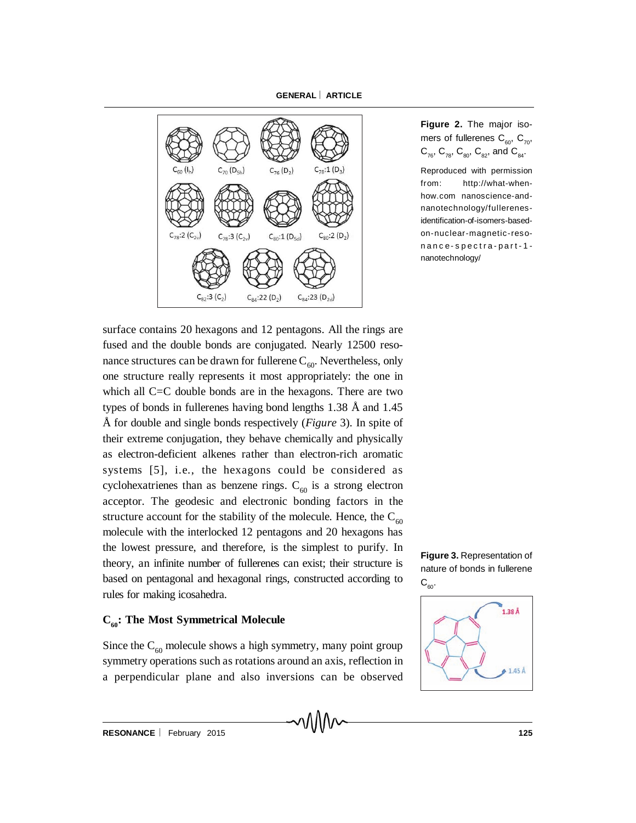

**Figure 2.** The major isomers of fullerenes  $C_{60}$ ,  $C_{70}$ ,  $C_{76}$ ,  $C_{78}$ ,  $C_{80}$ ,  $C_{82}$ , and  $C_{84}$ .

Reproduced with permission from: http://what-whenhow.com nanoscience-andnanotechnology/fullerenes identification-of-isomers-basedon-nuclear-magnetic-resonance-spectra-part-1 nanotechnology/

surface contains 20 hexagons and 12 pentagons. All the rings are fused and the double bonds are conjugated. Nearly 12500 resonance structures can be drawn for fullerene  $C_{60}$ . Nevertheless, only one structure really represents it most appropriately: the one in which all C=C double bonds are in the hexagons. There are two types of bonds in fullerenes having bond lengths 1.38 Å and 1.45 Å for double and single bonds respectively (*Figure* 3). In spite of their extreme conjugation, they behave chemically and physically as electron-deficient alkenes rather than electron-rich aromatic systems [5], i.e., the hexagons could be considered as cyclohexatrienes than as benzene rings.  $C_{60}$  is a strong electron acceptor. The geodesic and electronic bonding factors in the structure account for the stability of the molecule. Hence, the  $C_{60}$ molecule with the interlocked 12 pentagons and 20 hexagons has the lowest pressure, and therefore, is the simplest to purify. In theory, an infinite number of fullerenes can exist; their structure is based on pentagonal and hexagonal rings, constructed according to rules for making icosahedra.

#### **C<sub>60</sub>: The Most Symmetrical Molecule**

Since the  $C_{60}$  molecule shows a high symmetry, many point group symmetry operations such as rotations around an axis, reflection in a perpendicular plane and also inversions can be observed



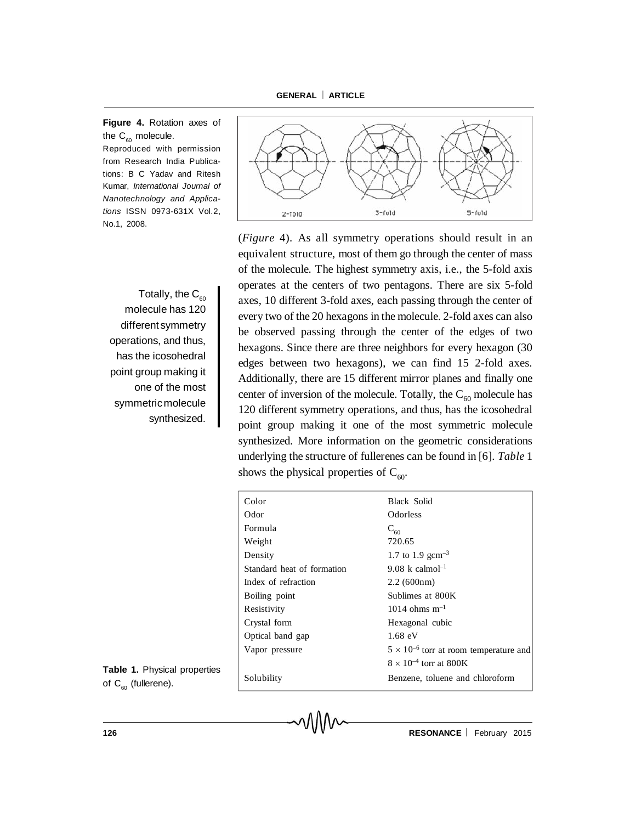**Figure 4.** Rotation axes of the  $C_{60}$  molecule. Reproduced with permission

from Research India Publications: B C Yadav and Ritesh Kumar, *International Journal of Nanotechnology and Applications* ISSN 0973-631X Vol.2, No.1, 2008.

Totally, the  $C_{60}$ molecule has 120 different symmetry operations, and thus, has the icosohedral point group making it one of the most symmetricmolecule synthesized.

**Table 1.** Physical properties of  $C_{60}$  (fullerene).



(*Figure* 4). As all symmetry operations should result in an equivalent structure, most of them go through the center of mass of the molecule. The highest symmetry axis, i.e., the 5-fold axis operates at the centers of two pentagons. There are six 5-fold axes, 10 different 3-fold axes, each passing through the center of every two of the 20 hexagons in the molecule. 2-fold axes can also be observed passing through the center of the edges of two hexagons. Since there are three neighbors for every hexagon (30 edges between two hexagons), we can find 15 2-fold axes. Additionally, there are 15 different mirror planes and finally one center of inversion of the molecule. Totally, the  $C_{60}$  molecule has 120 different symmetry operations, and thus, has the icosohedral point group making it one of the most symmetric molecule synthesized. More information on the geometric considerations underlying the structure of fullerenes can be found in [6]. *Table* 1 shows the physical properties of  $C_{60}$ .

| Color                      | Black Solid                                     |
|----------------------------|-------------------------------------------------|
| Odor                       | <b>Odorless</b>                                 |
| Formula                    | $C_{60}$                                        |
| Weight                     | 720.65                                          |
| Density                    | 1.7 to 1.9 gcm <sup>-3</sup>                    |
| Standard heat of formation | 9.08 k calmol <sup>-1</sup>                     |
| Index of refraction        | 2.2(600nm)                                      |
| Boiling point              | Sublimes at 800K                                |
| Resistivity                | $1014$ ohms m <sup>-1</sup>                     |
| Crystal form               | Hexagonal cubic                                 |
| Optical band gap           | $1.68 \text{ eV}$                               |
| Vapor pressure             | $5 \times 10^{-6}$ torr at room temperature and |
|                            | $8 \times 10^{-4}$ torr at 800K                 |
| Solubility                 | Benzene, toluene and chloroform                 |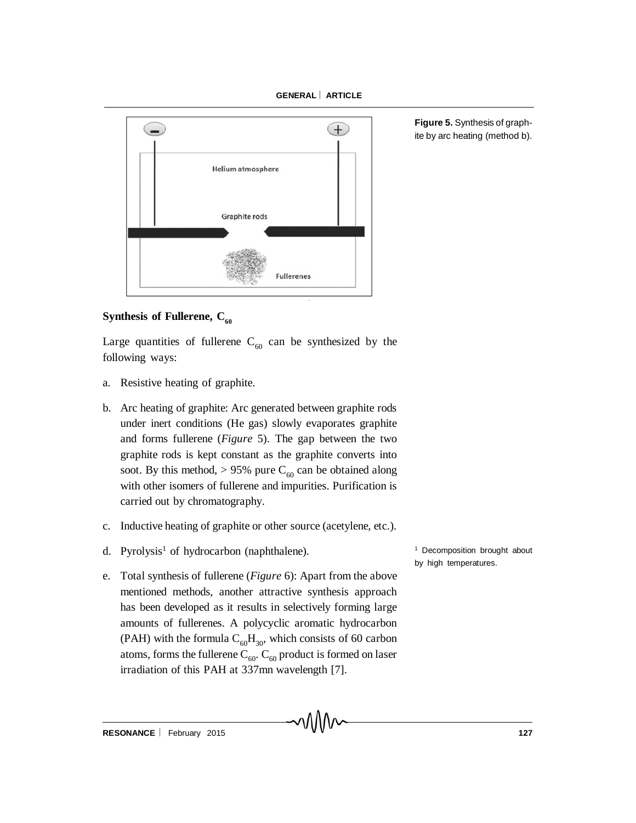

**Figure 5.** Synthesis of graphite by arc heating (method b).

## **Synthesis of Fullerene, C<sub>60</sub>**

Large quantities of fullerene  $C_{60}$  can be synthesized by the following ways:

- a. Resistive heating of graphite.
- b. Arc heating of graphite: Arc generated between graphite rods under inert conditions (He gas) slowly evaporates graphite and forms fullerene (*Figure* 5). The gap between the two graphite rods is kept constant as the graphite converts into soot. By this method,  $> 95\%$  pure C<sub>60</sub> can be obtained along with other isomers of fullerene and impurities. Purification is carried out by chromatography.
- c. Inductive heating of graphite or other source (acetylene, etc.).
- d. Pyrolysis<sup>1</sup> of hydrocarbon (naphthalene).
- e. Total synthesis of fullerene (*Figure* 6): Apart from the above mentioned methods, another attractive synthesis approach has been developed as it results in selectively forming large amounts of fullerenes. A polycyclic aromatic hydrocarbon (PAH) with the formula  $C_{60}H_{30}$ , which consists of 60 carbon atoms, forms the fullerene  $C_{60}$ .  $C_{60}$  product is formed on laser irradiation of this PAH at 337mn wavelength [7].

<sup>1</sup> Decomposition brought about by high temperatures.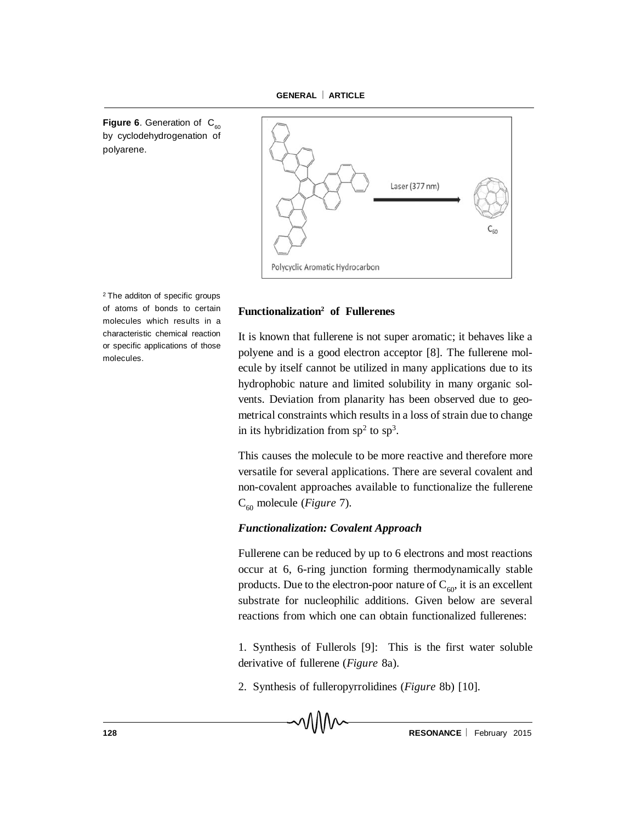**Figure 6.** Generation of  $C_{\infty}$ by cyclodehydrogenation of polyarene.



<sup>2</sup> The additon of specific groups of atoms of bonds to certain molecules which results in a characteristic chemical reaction or specific applications of those molecules.

## **Functionalization2 of Fullerenes**

It is known that fullerene is not super aromatic; it behaves like a polyene and is a good electron acceptor [8]. The fullerene molecule by itself cannot be utilized in many applications due to its hydrophobic nature and limited solubility in many organic solvents. Deviation from planarity has been observed due to geometrical constraints which results in a loss of strain due to change in its hybridization from  $sp<sup>2</sup>$  to  $sp<sup>3</sup>$ .

This causes the molecule to be more reactive and therefore more versatile for several applications. There are several covalent and non-covalent approaches available to functionalize the fullerene C<sub>60</sub> molecule (*Figure* 7).

#### *Functionalization: Covalent Approach*

Fullerene can be reduced by up to 6 electrons and most reactions occur at 6, 6-ring junction forming thermodynamically stable products. Due to the electron-poor nature of  $C_{60}$ , it is an excellent substrate for nucleophilic additions. Given below are several reactions from which one can obtain functionalized fullerenes:

1. Synthesis of Fullerols [9]: This is the first water soluble derivative of fullerene (*Figure* 8a).

2. Synthesis of fulleropyrrolidines (*Figure* 8b) [10].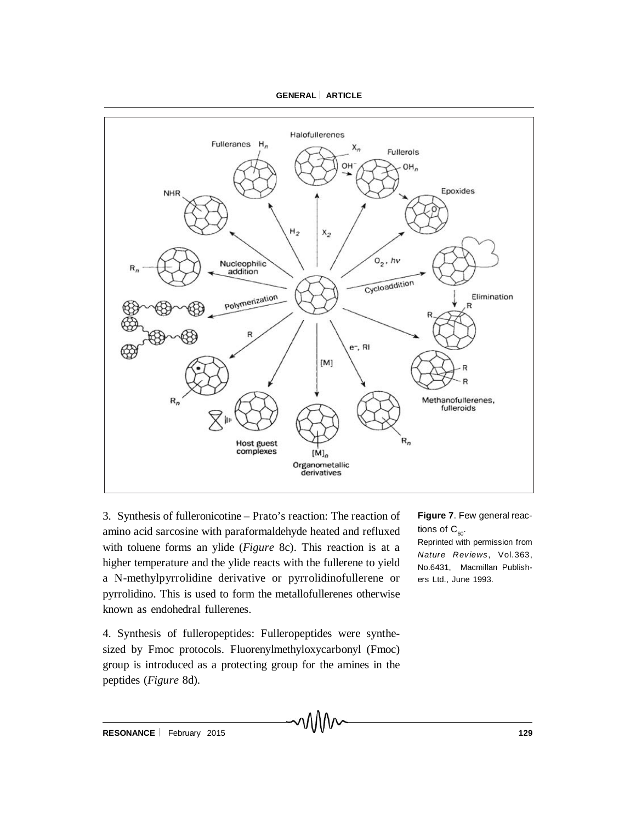

3. Synthesis of fulleronicotine – Prato's reaction: The reaction of amino acid sarcosine with paraformaldehyde heated and refluxed with toluene forms an ylide (*Figure* 8c). This reaction is at a higher temperature and the ylide reacts with the fullerene to yield a N-methylpyrrolidine derivative or pyrrolidinofullerene or pyrrolidino. This is used to form the metallofullerenes otherwise known as endohedral fullerenes.

4. Synthesis of fulleropeptides: Fulleropeptides were synthesized by Fmoc protocols. Fluorenylmethyloxycarbonyl (Fmoc) group is introduced as a protecting group for the amines in the peptides (*Figure* 8d).

**Figure 7**. Few general reactions of  $C_{60}$ .

Reprinted with permission from *Nature Reviews*, Vol.363, No.6431, Macmillan Publishers Ltd., June 1993.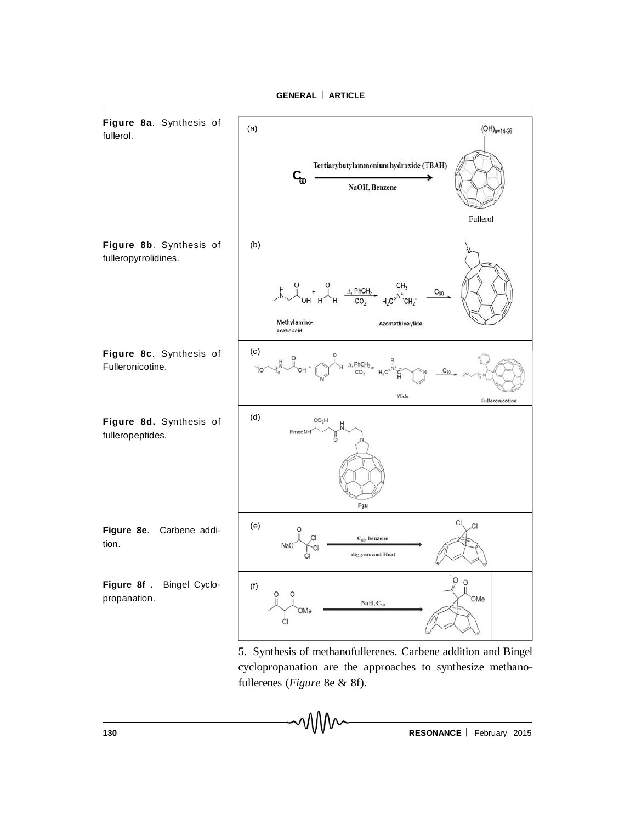

5. Synthesis of methanofullerenes. Carbene addition and Bingel cyclopropanation are the approaches to synthesize methanofullerenes (*Figure* 8e & 8f).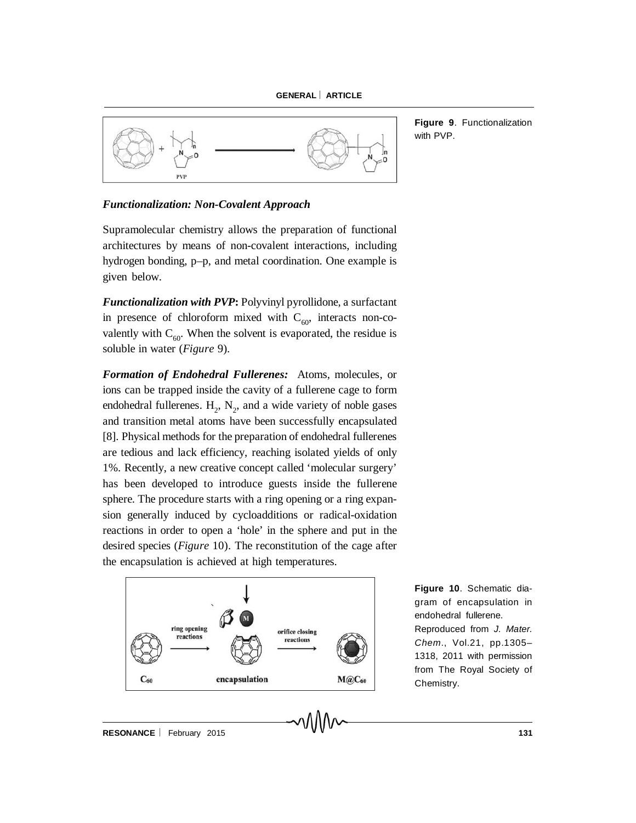

**Figure 9**. Functionalization with PVP.

#### *Functionalization: Non-Covalent Approach*

Supramolecular chemistry allows the preparation of functional architectures by means of non-covalent interactions, including hydrogen bonding, p–p, and metal coordination. One example is given below.

*Functionalization with PVP***:** Polyvinyl pyrollidone, a surfactant in presence of chloroform mixed with  $C_{60}$ , interacts non-covalently with  $C_{60}$ . When the solvent is evaporated, the residue is soluble in water (*Figure* 9).

*Formation of Endohedral Fullerenes:* Atoms, molecules, or ions can be trapped inside the cavity of a fullerene cage to form endohedral fullerenes.  $H_2$ ,  $N_2$ , and a wide variety of noble gases and transition metal atoms have been successfully encapsulated [8]. Physical methods for the preparation of endohedral fullerenes are tedious and lack efficiency, reaching isolated yields of only 1%. Recently, a new creative concept called 'molecular surgery' has been developed to introduce guests inside the fullerene sphere. The procedure starts with a ring opening or a ring expansion generally induced by cycloadditions or radical-oxidation reactions in order to open a 'hole' in the sphere and put in the desired species (*Figure* 10). The reconstitution of the cage after the encapsulation is achieved at high temperatures.



**Figure 10**. Schematic diagram of encapsulation in endohedral fullerene. Reproduced from *J. Mater. Chem*., Vol.21, pp.1305– 1318, 2011 with permission from The Royal Society of Chemistry.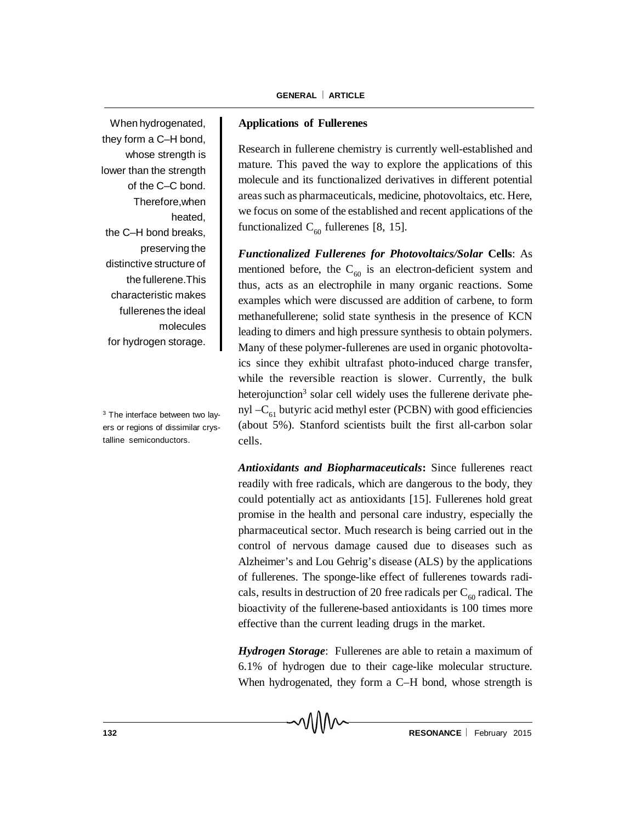When hydrogenated, they form a C–H bond, whose strength is lower than the strength of the C–C bond. Therefore,when heated, the C–H bond breaks, preserving the distinctive structure of the fullerene.This characteristic makes fullerenes the ideal molecules for hydrogen storage.

<sup>3</sup> The interface between two layers or regions of dissimilar crystalline semiconductors.

## **Applications of Fullerenes**

Research in fullerene chemistry is currently well-established and mature. This paved the way to explore the applications of this molecule and its functionalized derivatives in different potential areas such as pharmaceuticals, medicine, photovoltaics, etc. Here, we focus on some of the established and recent applications of the functionalized  $C_{60}$  fullerenes [8, 15].

*Functionalized Fullerenes for Photovoltaics/Solar* **Cells**: As mentioned before, the  $C_{60}$  is an electron-deficient system and thus, acts as an electrophile in many organic reactions. Some examples which were discussed are addition of carbene, to form methanefullerene; solid state synthesis in the presence of KCN leading to dimers and high pressure synthesis to obtain polymers. Many of these polymer-fullerenes are used in organic photovoltaics since they exhibit ultrafast photo-induced charge transfer, while the reversible reaction is slower. Currently, the bulk heterojunction<sup>3</sup> solar cell widely uses the fullerene derivate phenyl  $-C_{61}$  butyric acid methyl ester (PCBN) with good efficiencies (about 5%). Stanford scientists built the first all-carbon solar cells.

*Antioxidants and Biopharmaceuticals***:** Since fullerenes react readily with free radicals, which are dangerous to the body, they could potentially act as antioxidants [15]. Fullerenes hold great promise in the health and personal care industry, especially the pharmaceutical sector. Much research is being carried out in the control of nervous damage caused due to diseases such as Alzheimer's and Lou Gehrig's disease (ALS) by the applications of fullerenes. The sponge-like effect of fullerenes towards radicals, results in destruction of 20 free radicals per  $C_{60}$  radical. The bioactivity of the fullerene-based antioxidants is 100 times more effective than the current leading drugs in the market.

*Hydrogen Storage*: Fullerenes are able to retain a maximum of 6.1% of hydrogen due to their cage-like molecular structure. When hydrogenated, they form a C–H bond, whose strength is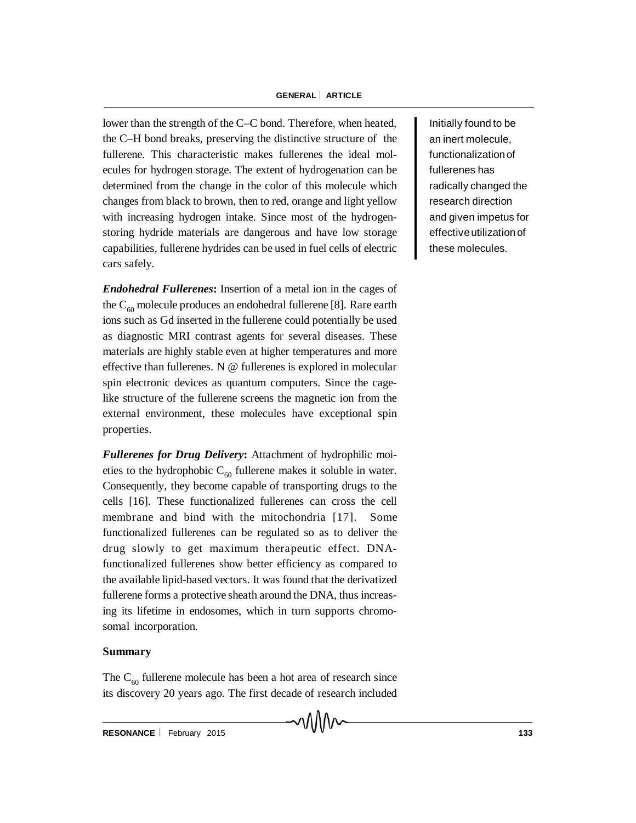lower than the strength of the C–C bond. Therefore, when heated, the C–H bond breaks, preserving the distinctive structure of the fullerene. This characteristic makes fullerenes the ideal molecules for hydrogen storage. The extent of hydrogenation can be determined from the change in the color of this molecule which changes from black to brown, then to red, orange and light yellow with increasing hydrogen intake. Since most of the hydrogenstoring hydride materials are dangerous and have low storage capabilities, fullerene hydrides can be used in fuel cells of electric cars safely.

*Endohedral Fullerenes***:** Insertion of a metal ion in the cages of the  $C_{60}$  molecule produces an endohedral fullerene [8]. Rare earth ions such as Gd inserted in the fullerene could potentially be used as diagnostic MRI contrast agents for several diseases. These materials are highly stable even at higher temperatures and more effective than fullerenes. N @ fullerenes is explored in molecular spin electronic devices as quantum computers. Since the cagelike structure of the fullerene screens the magnetic ion from the external environment, these molecules have exceptional spin properties.

*Fullerenes for Drug Delivery***:** Attachment of hydrophilic moieties to the hydrophobic  $C_{60}$  fullerene makes it soluble in water. Consequently, they become capable of transporting drugs to the cells [16]. These functionalized fullerenes can cross the cell membrane and bind with the mitochondria [17]. Some functionalized fullerenes can be regulated so as to deliver the drug slowly to get maximum therapeutic effect. DNAfunctionalized fullerenes show better efficiency as compared to the available lipid-based vectors. It was found that the derivatized fullerene forms a protective sheath around the DNA, thus increasing its lifetime in endosomes, which in turn supports chromosomal incorporation.

## **Summary**

The  $C_{60}$  fullerene molecule has been a hot area of research since its discovery 20 years ago. The first decade of research included Initially found to be an inert molecule, functionalization of fullerenes has radically changed the research direction and given impetus for effective utilization of these molecules.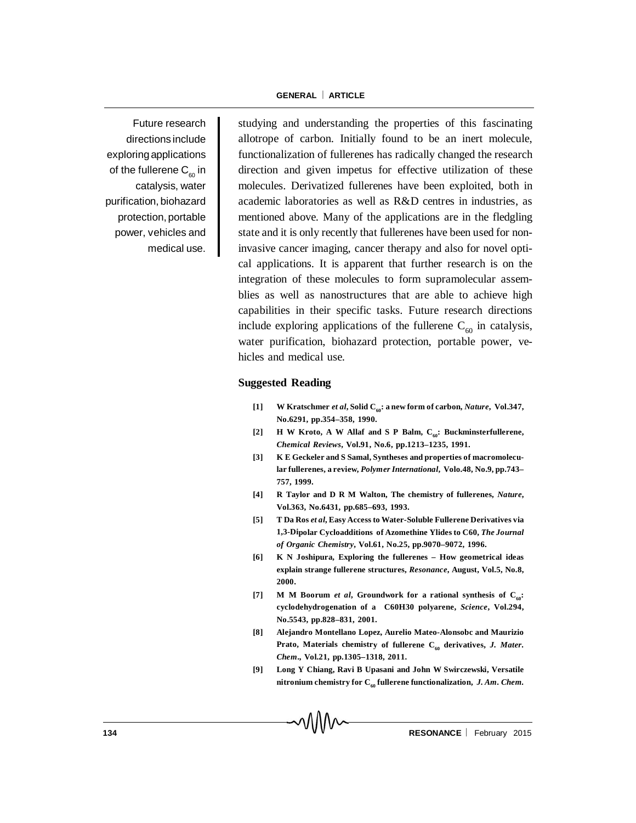Future research directions include exploring applications of the fullerene  $C_{\epsilon 0}$  in catalysis, water purification, biohazard protection, portable power, vehicles and medical use.

studying and understanding the properties of this fascinating allotrope of carbon. Initially found to be an inert molecule, functionalization of fullerenes has radically changed the research direction and given impetus for effective utilization of these molecules. Derivatized fullerenes have been exploited, both in academic laboratories as well as R&D centres in industries, as mentioned above. Many of the applications are in the fledgling state and it is only recently that fullerenes have been used for noninvasive cancer imaging, cancer therapy and also for novel optical applications. It is apparent that further research is on the integration of these molecules to form supramolecular assemblies as well as nanostructures that are able to achieve high capabilities in their specific tasks. Future research directions include exploring applications of the fullerene  $C_{60}$  in catalysis, water purification, biohazard protection, portable power, vehicles and medical use.

#### **Suggested Reading**

- [1] W Kratschmer *et al*, Solid C<sub>60</sub>: a new form of carbon, *Nature*, Vol.347, **No.6291, pp.354–358, 1990.**
- [2] **H** W Kroto, A W Allaf and S P Balm, C<sub>60</sub>: Buckminsterfullerene, *Chemical Reviews***, Vol.91, No.6, pp.1213–1235, 1991.**
- **[3] K E Geckeler and S Samal, Syntheses and properties of macromolecular fullerenes, a review,** *Polymer International***, Volo.48, No.9, pp.743– 757, 1999.**
- **[4] R Taylor and D R M Walton, The chemistry of fullerenes,** *Nature***, Vol.363, No.6431, pp.685–693, 1993.**
- **[5] T Da Ros** *et al***, Easy Access to Water-Soluble Fullerene Derivatives via 1,3-Dipolar Cycloadditions of Azomethine Ylides to C60,** *The Journal of Organic Chemistry***, Vol.61, No.25, pp.9070–9072, 1996.**
- **[6] K N Joshipura, Exploring the fullerenes How geometrical ideas explain strange fullerene structures,** *Resonance***, August, Vol.5, No.8, 2000.**
- [7] M M Boorum *et al*, Groundwork for a rational synthesis of C<sub>60</sub>: **cyclodehydrogenation of a C60H30 polyarene,** *Science***, Vol.294, No.5543, pp.828–831, 2001.**
- **[8] Alejandro Montellano Lopez, Aurelio Mateo-Alonsobc and Maurizio** Prato, Materials chemistry of fullerene C<sub>60</sub> derivatives, *J. Mater. Chem***., Vol.21, pp.1305–1318, 2011.**
- **[9] Long Y Chiang, Ravi B Upasani and John W Swirczewski, Versatile** nitronium chemistry for  $C_{60}$  fullerene functionalization, *J. Am. Chem.*